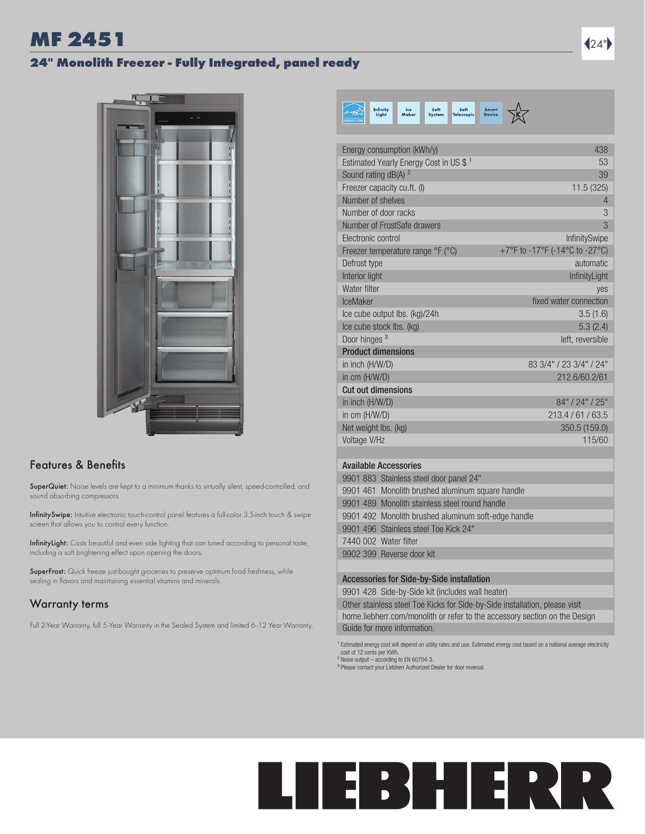# MF 2451 24"

#### 24" Monolith Freezer - Fully Integrated, panel ready



#### Features & Benefits

SuperQuiet: Noise levels are kept to a minimum thanks to virtually silent, speed-controlled, and sound absorbing compressors.

InfinitySwipe: Intuitive electronic touch-control panel features a full-color 3.5-inch touch & swipe screen that allows you to control every function.

InfinityLight: Casts beautiful and even side lighting that can tuned according to personal taste, including a soft brightening effect upon opening the doors.

SuperFrost: Quick freeze just-bought groceries to preserve optimum food freshness, while sealing in flavors and maintaining essential vitamins and minerals.

### Warranty terms

Full 2-Year Warranty, full 5-Year Warranty in the Sealed System and limited 6 -12 Year Warranty.

| Infinity<br>Soft<br>Soft<br>Ice<br>Liaht<br>Maker<br><b>Telescopic</b><br>System | <b>Smart</b><br><b>Device</b>  |
|----------------------------------------------------------------------------------|--------------------------------|
| Energy consumption (kWh/y)                                                       | 438                            |
| Estimated Yearly Energy Cost in US \$ <sup>1</sup>                               | 53                             |
| Sound rating dB(A) <sup>2</sup>                                                  | 39                             |
| Freezer capacity cu.ft. (I)                                                      | 11.5 (325)                     |
| Number of shelves                                                                | 4                              |
| Number of door racks                                                             | 3                              |
| Number of FrostSafe drawers                                                      | 3                              |
| Flectronic control                                                               | InfinitySwipe                  |
| Freezer temperature range ${}^{\circ}$ F ( ${}^{\circ}$ C)                       | +7°F to -17°F (-14°C to -27°C) |
| Defrost type                                                                     | automatic                      |
| Interior light                                                                   | InfinityLight                  |
| Water filter                                                                     | yes                            |
| <b>IceMaker</b>                                                                  | fixed water connection         |
| Ice cube output Ibs. (kg)/24h                                                    | 3.5(1.6)                       |
| 5.3(2.4)<br>Ice cube stock Ibs. (kg)                                             |                                |
| Door hinges <sup>3</sup>                                                         | left, reversible               |
| <b>Product dimensions</b>                                                        |                                |
| 83 3/4" / 23 3/4" / 24"<br>in inch (H/W/D)                                       |                                |
| in cm (H/W/D)                                                                    | 212.6/60.2/61                  |
| <b>Cut out dimensions</b>                                                        |                                |
| in inch (H/W/D)                                                                  | 84" / 24" / 25"                |
| in $cm$ (H/W/D)<br>Net weight lbs. (kg)                                          | 213.4/61/63.5<br>350.5 (159.0) |
| Voltage V/Hz                                                                     | 115/60                         |
|                                                                                  |                                |
| <b>Available Accessories</b>                                                     |                                |

| 9901 883 Stainless steel door panel 24"             |
|-----------------------------------------------------|
| 9901 461 Monolith brushed aluminum square handle    |
| 9901 489 Monolith stainless steel round handle      |
| 9901 492 Monolith brushed aluminum soft-edge handle |
| 9901 496 Stainless steel Toe Kick 24"               |
| 7440 002 Water filter                               |
| 9902 399 Reverse door kit                           |
|                                                     |

#### Accessories for Side-by-Side installation

9901 428 Side-by-Side kit (includes wall heater)

Other stainless steel Toe Kicks for Side-by-Side installation, please visit home.liebherr.com/monolith or refer to the accessory section on the Design Guide for more information.

<sup>1</sup> Estimated energy cost will depend on utility rates and use. Estimated energy cost based on a national average electricity cost of 12 cents per KWh. ² Noise output – according to EN 60704-3.

<sup>3</sup> Please contact your Liebherr Authorized Dealer for door reversal.